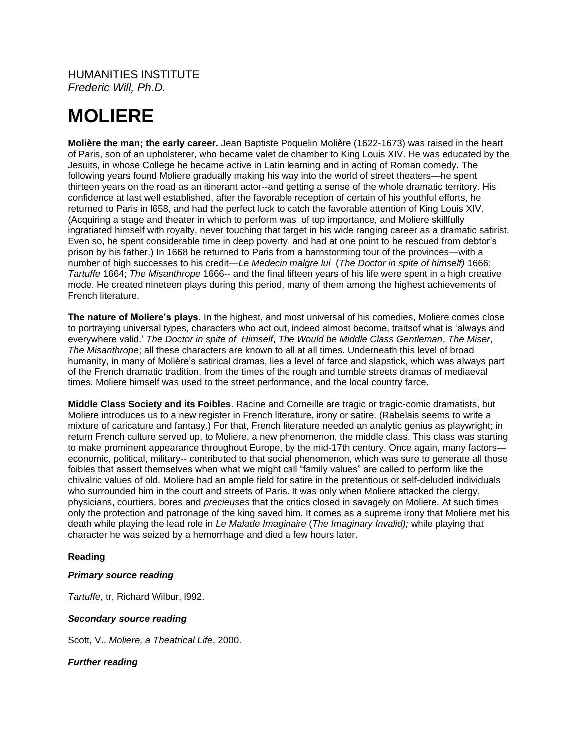## HUMANITIES INSTITUTE *Frederic Will, Ph.D.*

# **MOLIERE**

**Molière the man; the early career.** Jean Baptiste Poquelin Molière (1622-1673) was raised in the heart of Paris, son of an upholsterer, who became valet de chamber to King Louis XIV. He was educated by the Jesuits, in whose College he became active in Latin learning and in acting of Roman comedy. The following years found Moliere gradually making his way into the world of street theaters—he spent thirteen years on the road as an itinerant actor--and getting a sense of the whole dramatic territory. His confidence at last well established, after the favorable reception of certain of his youthful efforts, he returned to Paris in l658, and had the perfect luck to catch the favorable attention of King Louis XIV. (Acquiring a stage and theater in which to perform was of top importance, and Moliere skillfully ingratiated himself with royalty, never touching that target in his wide ranging career as a dramatic satirist. Even so, he spent considerable time in deep poverty, and had at one point to be rescued from debtor's prison by his father.) In 1668 he returned to Paris from a barnstorming tour of the provinces—with a number of high successes to his credit—*Le Medecin malgre lui* (*The Doctor in spite of himself)* 1666; *Tartuffe* 1664; *The Misanthrope* 1666-- and the final fifteen years of his life were spent in a high creative mode. He created nineteen plays during this period, many of them among the highest achievements of French literature.

**The nature of Moliere's plays.** In the highest, and most universal of his comedies, Moliere comes close to portraying universal types, characters who act out, indeed almost become, traitsof what is 'always and everywhere valid.' *The Doctor in spite of Himself*, *The Would be Middle Class Gentleman*, *The Miser*, *The Misanthrope*; all these characters are known to all at all times. Underneath this level of broad humanity, in many of Molière's satirical dramas, lies a level of farce and slapstick, which was always part of the French dramatic tradition, from the times of the rough and tumble streets dramas of mediaeval times. Moliere himself was used to the street performance, and the local country farce.

**Middle Class Society and its Foibles**. Racine and Corneille are tragic or tragic-comic dramatists, but Moliere introduces us to a new register in French literature, irony or satire. (Rabelais seems to write a mixture of caricature and fantasy.) For that, French literature needed an analytic genius as playwright; in return French culture served up, to Moliere, a new phenomenon, the middle class. This class was starting to make prominent appearance throughout Europe, by the mid-17th century. Once again, many factorseconomic, political, military-- contributed to that social phenomenon, which was sure to generate all those foibles that assert themselves when what we might call "family values" are called to perform like the chivalric values of old. Moliere had an ample field for satire in the pretentious or self-deluded individuals who surrounded him in the court and streets of Paris. It was only when Moliere attacked the clergy, physicians, courtiers, bores and *precieuses* that the critics closed in savagely on Moliere. At such times only the protection and patronage of the king saved him. It comes as a supreme irony that Moliere met his death while playing the lead role in *Le Malade Imaginaire* (*The Imaginary Invalid);* while playing that character he was seized by a hemorrhage and died a few hours later.

## **Reading**

## *Primary source reading*

*Tartuffe*, tr, Richard Wilbur, l992.

#### *Secondary source reading*

Scott, V., *Moliere, a Theatrical Life*, 2000.

## *Further reading*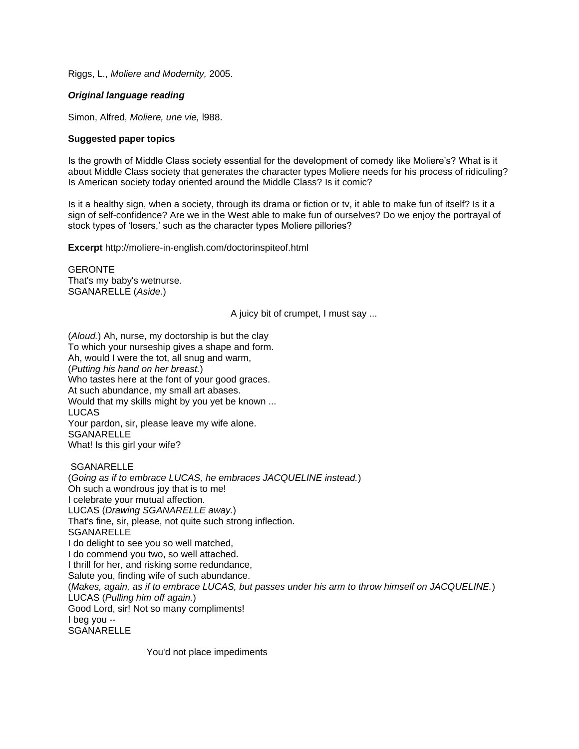Riggs, L., *Moliere and Modernity,* 2005.

#### *Original language reading*

Simon, Alfred, *Moliere, une vie,* l988.

#### **Suggested paper topics**

Is the growth of Middle Class society essential for the development of comedy like Moliere's? What is it about Middle Class society that generates the character types Moliere needs for his process of ridiculing? Is American society today oriented around the Middle Class? Is it comic?

Is it a healthy sign, when a society, through its drama or fiction or tv, it able to make fun of itself? Is it a sign of self-confidence? Are we in the West able to make fun of ourselves? Do we enjoy the portrayal of stock types of 'losers,' such as the character types Moliere pillories?

**Excerpt** http://moliere-in-english.com/doctorinspiteof.html

**GERONTE** That's my baby's wetnurse. SGANARELLE (*Aside.*)

A juicy bit of crumpet, I must say ...

(*Aloud.*) Ah, nurse, my doctorship is but the clay To which your nurseship gives a shape and form. Ah, would I were the tot, all snug and warm, (*Putting his hand on her breast.*) Who tastes here at the font of your good graces. At such abundance, my small art abases. Would that my skills might by you yet be known ... LUCAS Your pardon, sir, please leave my wife alone. **SGANARELLE** What! Is this girl your wife?

#### **SGANARELLE**

(*Going as if to embrace LUCAS, he embraces JACQUELINE instead.*) Oh such a wondrous joy that is to me! I celebrate your mutual affection. LUCAS (*Drawing SGANARELLE away.*) That's fine, sir, please, not quite such strong inflection. SGANARELLE I do delight to see you so well matched, I do commend you two, so well attached. I thrill for her, and risking some redundance, Salute you, finding wife of such abundance. (*Makes, again, as if to embrace LUCAS, but passes under his arm to throw himself on JACQUELINE.*) LUCAS (*Pulling him off again.*) Good Lord, sir! Not so many compliments! I beg you -- **SGANARELLE** 

You'd not place impediments